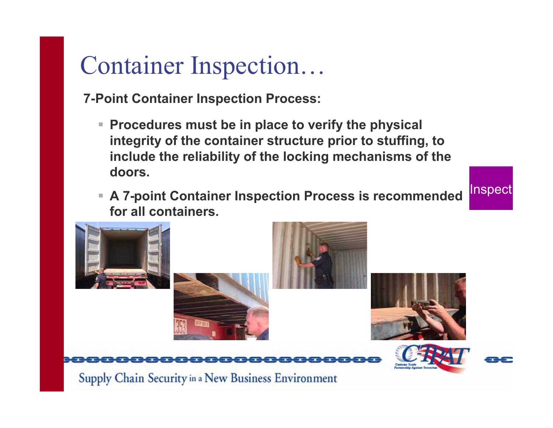# Container Inspection…

**7-Point Container Inspection Process:**

- **Procedures must be in place to verify the physical integrity of the container structure prior to stuffing, to include the reliability of the locking mechanisms of the doors.**
- **A 7-point Container Inspection Process is recommended for all containers.**

Inspect

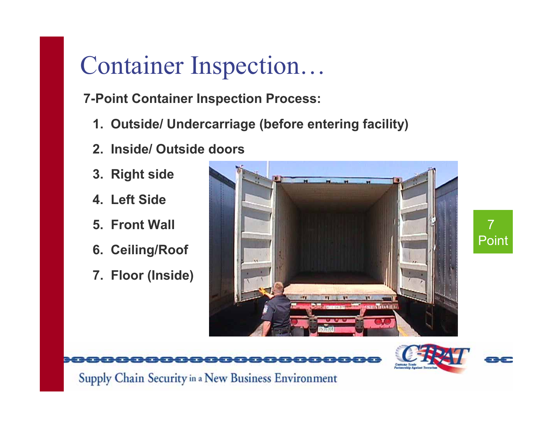# Container Inspection…

**7-Point Container Inspection Process:**

- **1. Outside/ Undercarriage (before entering facility)**
- **2. Inside/ Outside doors**
- **3. Right side**
- **4. Left Side**
- **5. Front Wall**
- **6. Ceiling/Roof**
- **7. Floor (Inside)**





7

Point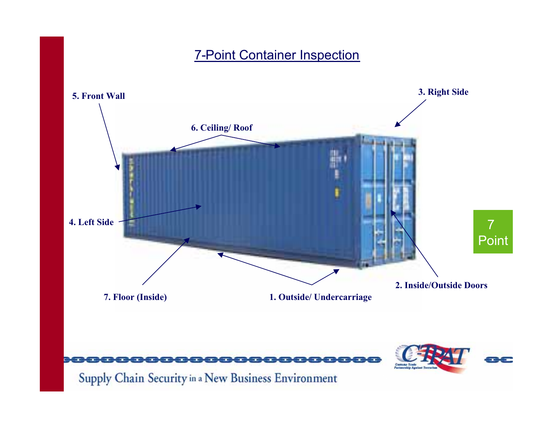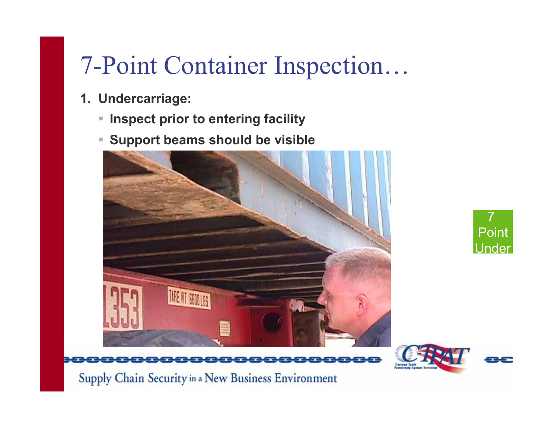- **1. Undercarriage:**
	- $\blacksquare$ **Inspect prior to entering facility**
	- $\blacksquare$ **Support beams should be visible**





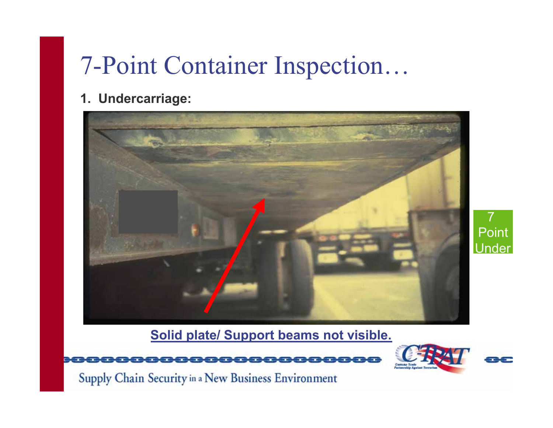#### **1. Undercarriage:**



7Point **Under** 

**Solid plate/ Support beams not visible.**



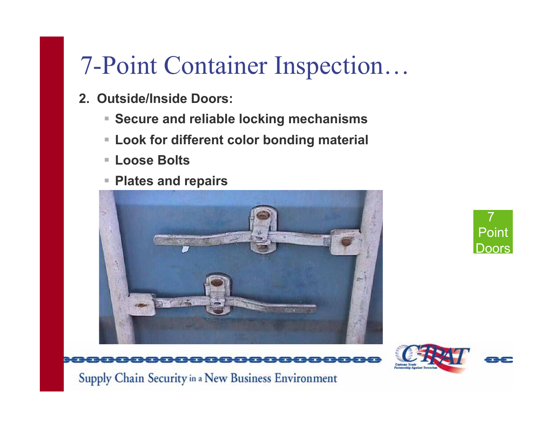- **2. Outside/Inside Doors:**
	- **Secure and reliable locking mechanisms**
	- **Look for different color bonding material**
	- **Loose Bolts**
	- **Plates and repairs**





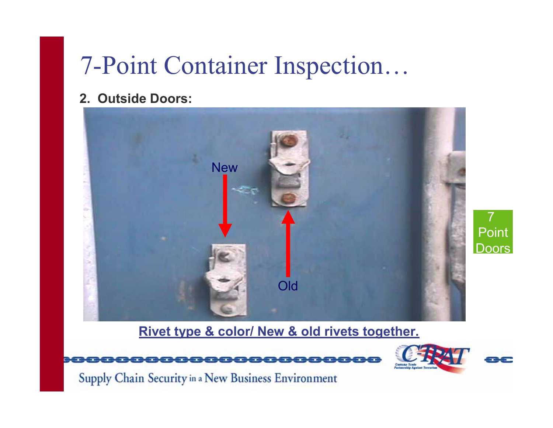#### **2. Outside Doors:**



#### **Rivet type & color/ New & old rivets together.**



Supply Chain Security in a New Business Environment

8<del>000000</del>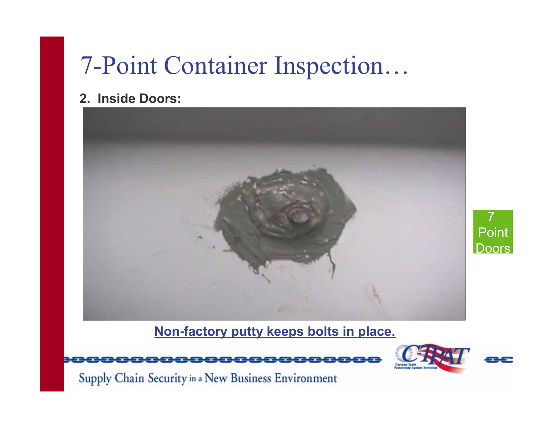#### **2. Inside Doors:**





Supply Chain Security in a New Business Environment

pocecec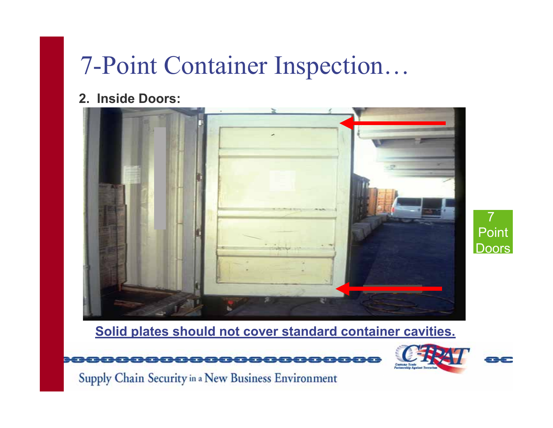**2. Inside Doors:**



7Point Doors

**Solid plates should not cover standard container cavities.**



Supply Chain Security in a New Business Environment

80000000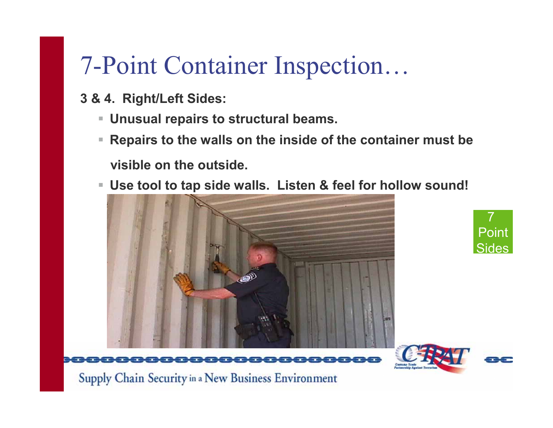- **3 & 4. Right/Left Sides:**
	- **Unusual repairs to structural beams.**
	- **Repairs to the walls on the inside of the container must be visible on the outside.**
	- **Use tool to tap side walls. Listen & feel for hollow sound!**





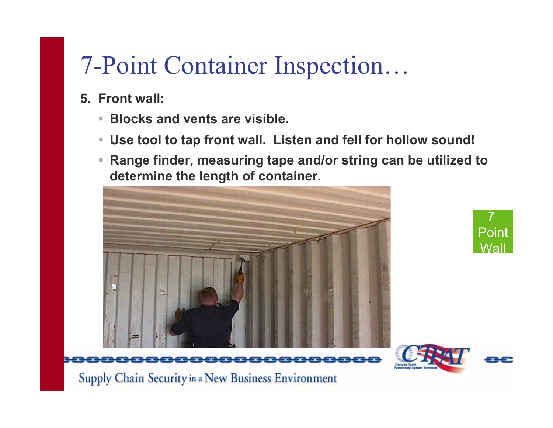- **5. Front wall:**
	- $\overline{\phantom{a}}$ **Blocks and vents are visible.**
	- **Use tool to tap front wall. Listen and fell for hollow sound!**
	- $\blacksquare$  **Range finder, measuring tape and/or string can be utilized to determine the length of container.**





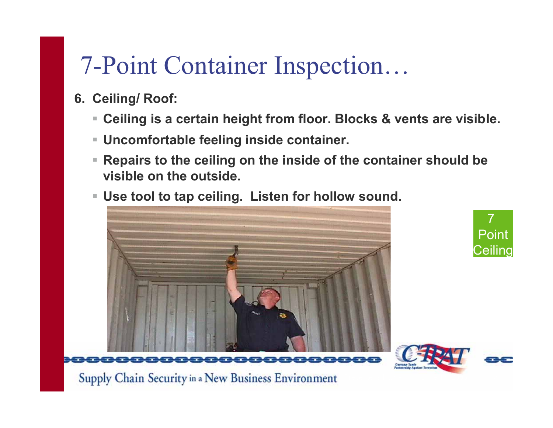- **6. Ceiling/ Roof:**
	- $\Box$ Ceiling is a certain height from floor. Blocks & vents are visible.
	- **Uncomfortable feeling inside container.**
	- $\Box$  **Repairs to the ceiling on the inside of the container should be visible on the outside.**
	- **Use tool to tap ceiling. Listen for hollow sound.**





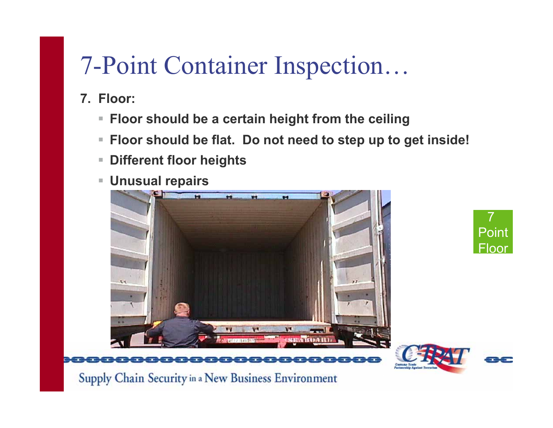- **7. Floor:**
	- **Floor should be <sup>a</sup> certain height from the ceiling**
	- $\mathcal{L}_{\mathcal{A}}$ Floor should be flat. Do not need to step up to get inside!
	- $\mathcal{L}_{\mathcal{A}}$ **Different floor heights**
	- $\blacksquare$ **Unusual repairs**



7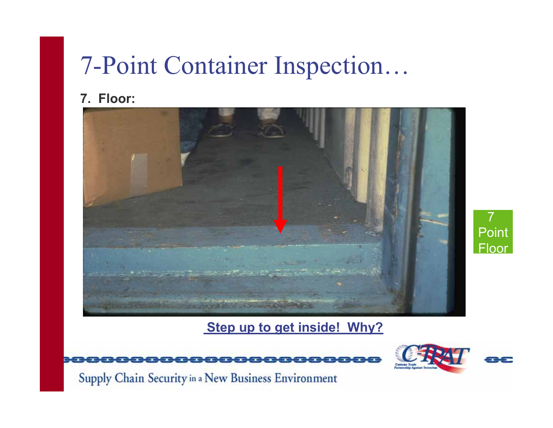#### **7. Floor:**



**Step up to get inside! Why?**





7

Point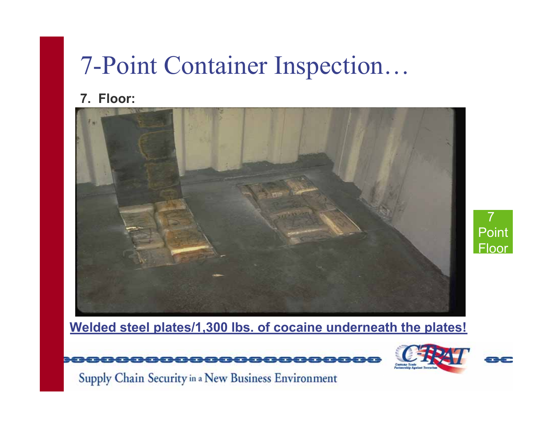#### **7. Floor:**





**Welded steel plates/1,300 lbs. of cocaine underneath the plates!**



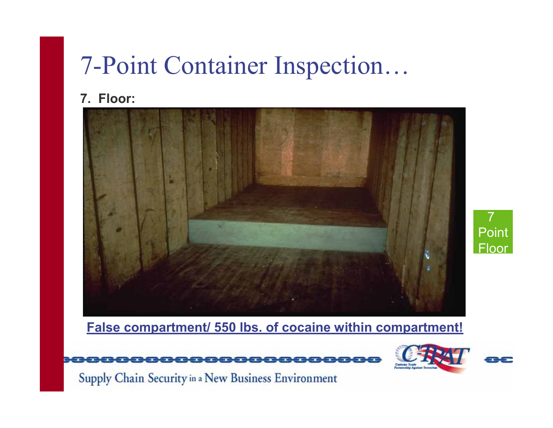#### **7. Floor:**



7Point **Floor** 

**False compartment/ 550 lbs. of cocaine within compartment!**



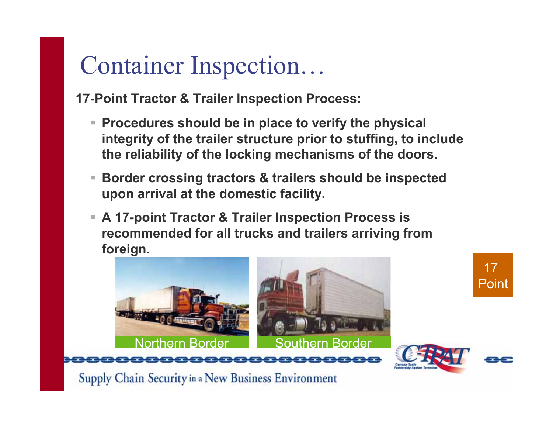## Container Inspection…

**17-Point Tractor & Trailer Inspection Process:**

- **Procedures should be in place to verify the physical integrity of the trailer structure prior to stuffing, to include the reliability of the locking mechanisms of the doors.**
- $\overline{\phantom{a}}$  **Border crossing tractors & trailers should be inspected upon arrival at the domestic facility.**
- **A 17-point Tractor & Trailer Inspection Process is recommended for all trucks and trailers arriving from foreign.**

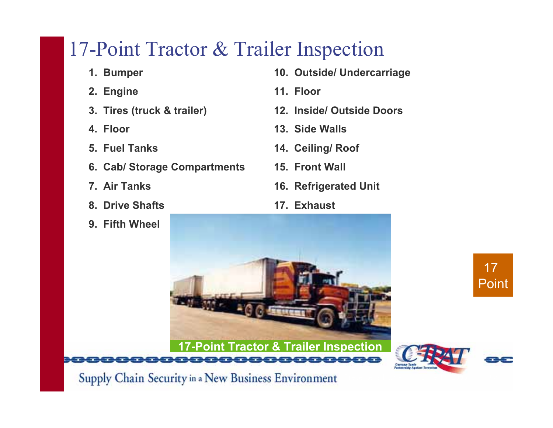#### 17-Point Tractor & Trailer Inspection

- **1. Bumper**
- **2. Engine**
- **3. Tires (truck & trailer)**
- **4. Floor**
- **5. Fuel Tanks**
- **6. Cab/ Storage Compartments**
- **7. Air Tanks**
- **8. Drive Shafts**
- **9. Fifth Wheel**
- **10. Outside/ Undercarriage**
- **11. Floor**
- **12. Inside/ Outside Doors**
- **13. Side Walls**
- **14. Ceiling/ Roof**
- **15. Front Wall**
- **16. Refrigerated Unit**

<u>an an am an a</u>

**17. Exhaust**



17

Point

Supply Chain Security in a New Business Environment

poooooo